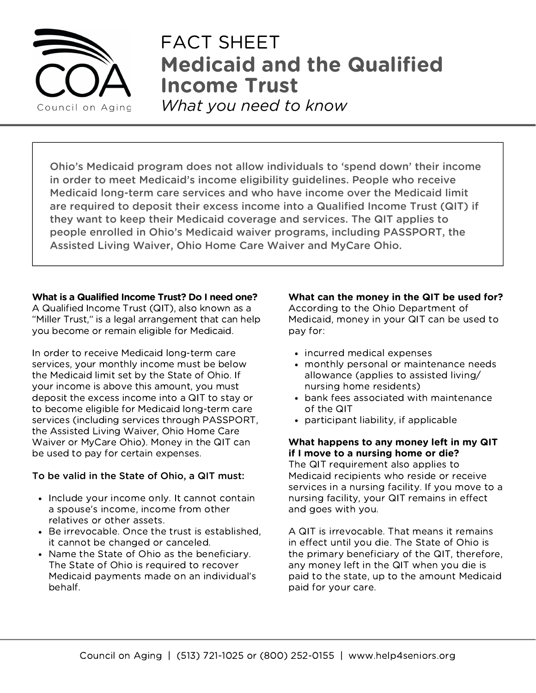

# **Medicaid and the Qualified Income Trust** FACT SHEET

*What you need to know*

Ohio's Medicaid program does not allow individuals to 'spend down' their income in order to meet Medicaid's income eligibility guidelines. People who receive Medicaid long-term care services and who have income over the Medicaid limit are required to deposit their excess income into a Qualified Income Trust (QIT) if they want to keep their Medicaid coverage and services. The QIT applies to people enrolled in Ohio's Medicaid waiver programs, including PASSPORT, the Assisted Living Waiver, Ohio Home Care Waiver and MyCare Ohio.

## **What is a Qualified Income Trust? Do I need one?**

A Qualified Income Trust (QIT), also known as a "Miller Trust," is a legal arrangement that can help you become or remain eligible for Medicaid.

In order to receive Medicaid long-term care services, your monthly income must be below the Medicaid limit set by the State of Ohio. If your income is above this amount, you must deposit the excess income into a QIT to stay or to become eligible for Medicaid long-term care services (including services through PASSPORT, the Assisted Living Waiver, Ohio Home Care Waiver or MyCare Ohio). Money in the QIT can be used to pay for certain expenses.

# To be valid in the State of Ohio, a QIT must:

- Include your income only. It cannot contain a spouse's income, income from other relatives or other assets.
- Be irrevocable. Once the trust is established, it cannot be changed or canceled.
- Name the State of Ohio as the beneficiary. The State of Ohio is required to recover Medicaid payments made on an individual's behalf.

#### **What can the money in the QIT be used for?** According to the Ohio Department of Medicaid, money in your QIT can be used to pay for:

- incurred medical expenses
- monthly personal or maintenance needs allowance (applies to assisted living/ nursing home residents)
- bank fees associated with maintenance of the QIT
- participant liability, if applicable

# **What happens to any money left in my QIT if I move to a nursing home or die?**

The QIT requirement also applies to Medicaid recipients who reside or receive services in a nursing facility. If you move to a nursing facility, your QIT remains in effect and goes with you.

A QIT is irrevocable. That means it remains in effect until you die. The State of Ohio is the primary beneficiary of the QIT, therefore, any money left in the QIT when you die is paid to the state, up to the amount Medicaid paid for your care.